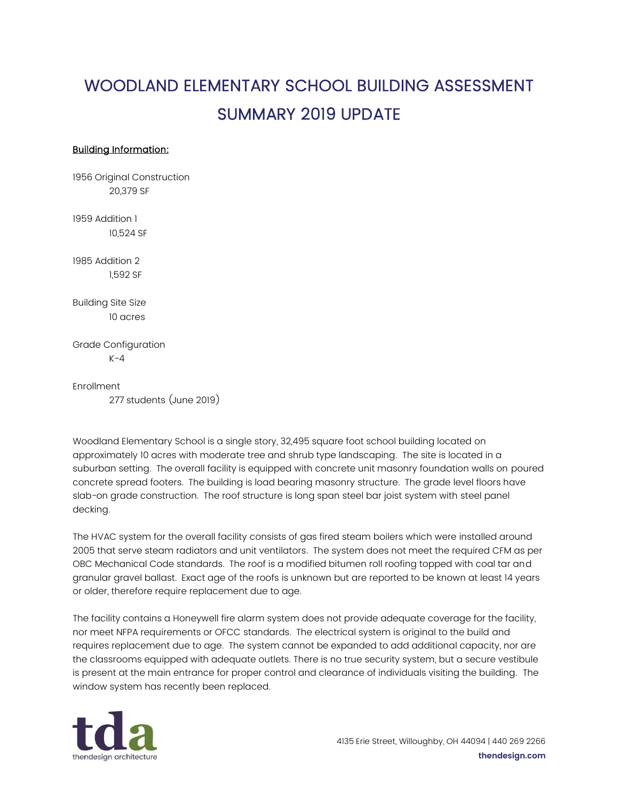## WOODLAND ELEMENTARY SCHOOL BUILDING ASSESSMENT SUMMARY 2019 UPDATE

## Building Information:

1956 Original Construction 20,379 SF

1959 Addition 1 10,524 SF

1985 Addition 2 1,592 SF

Building Site Size 10 acres

Grade Configuration  $K-4$ 

Enrollment 277 students (June 2019)

Woodland Elementary School is a single story, 32,495 square foot school building located on approximately 10 acres with moderate tree and shrub type landscaping. The site is located in a suburban setting. The overall facility is equipped with concrete unit masonry foundation walls on poured concrete spread footers. The building is load bearing masonry structure. The grade level floors have slab-on grade construction. The roof structure is long span steel bar joist system with steel panel decking.

The HVAC system for the overall facility consists of gas fired steam boilers which were installed around 2005 that serve steam radiators and unit ventilators. The system does not meet the required CFM as per OBC Mechanical Code standards. The roof is a modified bitumen roll roofing topped with coal tar and granular gravel ballast. Exact age of the roofs is unknown but are reported to be known at least 14 years or older, therefore require replacement due to age.

The facility contains a Honeywell fire alarm system does not provide adequate coverage for the facility, nor meet NFPA requirements or OFCC standards. The electrical system is original to the build and requires replacement due to age. The system cannot be expanded to add additional capacity, nor are the classrooms equipped with adequate outlets. There is no true security system, but a secure vestibule is present at the main entrance for proper control and clearance of individuals visiting the building. The window system has recently been replaced.